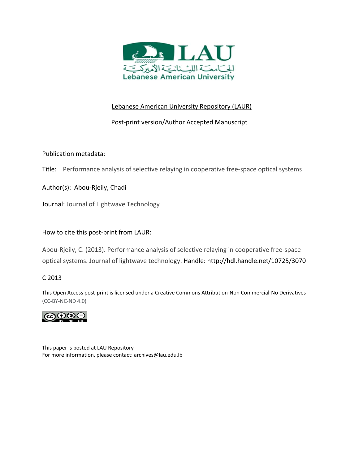

# Lebanese American University Repository (LAUR)

# Post‐print version/Author Accepted Manuscript

# Publication metadata:

Title: Performance analysis of selective relaying in cooperative free-space optical systems

Author(s): Abou‐Rjeily, Chadi

Journal: Journal of Lightwave Technology

## How to cite this post‐print from LAUR:

Abou‐Rjeily, C. (2013). Performance analysis of selective relaying in cooperative free‐space optical systems. Journal of lightwave technology. Handle: http://hdl.handle.net/10725/3070

## C 2013

This Open Access post‐print is licensed under a Creative Commons Attribution‐Non Commercial‐No Derivatives (CC‐BY‐NC‐ND 4.0)



This paper is posted at LAU Repository For more information, please contact: archives@lau.edu.lb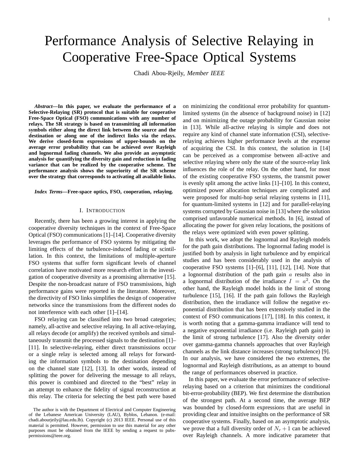# Performance Analysis of Selective Relaying in Cooperative Free-Space Optical Systems

Chadi Abou-Rjeily, *Member IEEE*

*Abstract***—In this paper, we evaluate the performance of a Selective-Relaying (SR) protocol that is suitable for cooperative Free-Space Optical (FSO) communications with any number of relays. The SR strategy is based on transmitting all information symbols either along the direct link between the source and the destination or along one of the indirect links via the relays. We derive closed-form expressions of upper-bounds on the average error probability that can be achieved over Rayleigh and lognormal fading channels. We also provide an asymptotic analysis for quantifying the diversity gain and reduction in fading variance that can be realized by the cooperative scheme. The performance analysis shows the superiority of the SR scheme over the strategy that corresponds to activating all available links.**

*Index Terms***—Free-space optics, FSO, cooperation, relaying.**

#### I. INTRODUCTION

Recently, there has been a growing interest in applying the cooperative diversity techniques in the context of Free-Space Optical (FSO) communications [1]–[14]. Cooperative diversity leverages the performance of FSO systems by mitigating the limiting effects of the turbulence-induced fading or scintillation. In this context, the limitations of multiple-aperture FSO systems that suffer form significant levels of channel correlation have motivated more research effort in the investigation of cooperative diversity as a promising alternative [15]. Despite the non-broadcast nature of FSO transmissions, high performance gains were reported in the literature. Moreover, the directivity of FSO links simplifies the design of cooperative networks since the transmissions from the different nodes do not interference with each other [1]–[14].

FSO relaying can be classified into two broad categories; namely, all-active and selective relaying. In all active-relaying, all relays decode (or amplify) the received symbols and simultaneously transmit the processed signals to the destination [1]– [11]. In selective-relaying, either direct transmissions occur or a single relay is selected among all relays for forwarding the information symbols to the destination depending on the channel state [12], [13]. In other words, instead of splitting the power for delivering the message to all relays, this power is combined and directed to the "best" relay in an attempt to enhance the fidelity of signal reconstruction at this relay. The criteria for selecting the best path were based

on minimizing the conditional error probability for quantumlimited systems (in the absence of background noise) in [12] and on minimizing the outage probability for Gaussian noise in [13]. While all-active relaying is simple and does not require any kind of channel state information (CSI), selectiverelaying achieves higher performance levels at the expense of acquiring the CSI. In this context, the solution in [14] can be perceived as a compromise between all-active and selective relaying where only the state of the source-relay link influences the role of the relay. On the other hand, for most of the existing cooperative FSO systems, the transmit power is evenly split among the active links [1]–[10]. In this context, optimized power allocation techniques are complicated and were proposed for multi-hop serial relaying systems in [11], for quantum-limited systems in [12] and for parallel-relaying systems corrupted by Gaussian noise in [13] where the solution comprised unfavorable numerical methods. In [6], instead of allocating the power for given relay locations, the positions of the relays were optimized with even power splitting.

In this work, we adopt the lognormal and Rayleigh models for the path gain distributions. The lognormal fading model is justified both by analysis in light turbulence and by empirical studies and has been considerably used in the analysis of cooperative FSO systems [1]–[6], [11], [12], [14]. Note that a lognormal distribution of the path gain  $\alpha$  results also in a lognormal distribution of the irradiance  $I = a^2$ . On the other hand, the Rayleigh model holds in the limit of strong turbulence [15], [16]. If the path gain follows the Rayleigh distribution, then the irradiance will follow the negative exponential distribution that has been extensively studied in the context of FSO communications [17], [18]. In this context, it is worth noting that a gamma-gamma irradiance will tend to a negative exponential irradiance (i.e. Rayleigh path gain) in the limit of strong turbulence [17]. Also the diversity order over gamma-gamma channels approaches that over Rayleigh channels as the link distance increases (strong turbulence) [9]. In our analysis, we have considered the two extremes, the lognormal and Rayleigh distributions, as an attempt to bound the range of performances observed in practice.

In this paper, we evaluate the error performance of selectiverelaying based on a criterion that minimizes the conditional bit-error-probability (BEP). We first determine the distribution of the strongest path. At a second time, the average BEP was bounded by closed-form expressions that are useful in providing clear and intuitive insights on the performance of SR cooperative systems. Finally, based on an asymptotic analysis, we prove that a full diversity order of  $N_r + 1$  can be achieved over Rayleigh channels. A more indicative parameter that

The author is with the Department of Electrical and Computer Engineering of the Lebanese American University (LAU), Byblos, Lebanon. (e-mail: chadi.abourjeily@lau.edu.lb). Copyright (c) 2013 IEEE. Personal use of this material is permitted. However, permission to use this material for any other purposes must be obtained from the IEEE by sending a request to pubspermissions@ieee.org.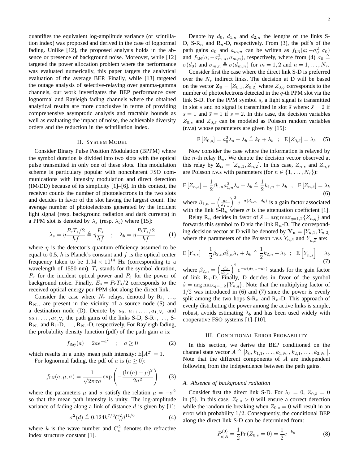quantifies the equivalent log-amplitude variance (or scintillation index) was proposed and derived in the case of lognormal fading. Unlike [12], the proposed analysis holds in the absence or presence of background noise. Moreover, while [12] targeted the power allocation problem where the performance was evaluated numerically, this paper targets the analytical evaluation of the average BEP. Finally, while [13] targeted the outage analysis of selective-relaying over gamma-gamma channels, our work investigates the BEP performance over lognormal and Rayleigh fading channels where the obtained analytical results are more conclusive in terms of providing comprehensive asymptotic analysis and tractable bounds as well as evaluating the impact of noise, the achievable diversity orders and the reduction in the scintillation index.

## II. SYSTEM MODEL

Consider Binary Pulse Position Modulation (BPPM) where the symbol duration is divided into two slots with the optical pulse transmitted in only one of these slots. This modulation scheme is particulary popular with noncoherent FSO communications with intensity modulation and direct detection (IM/DD) because of its simplicity [1]–[6]. In this context, the receiver counts the number of photoelectrons in the two slots and decides in favor of the slot having the largest count. The average number of photoelectrons generated by the incident light signal (resp. background radiation and dark currents) in a PPM slot is denoted by  $\lambda_s$  (resp.  $\lambda_b$ ) where [15]:

$$
\lambda_s = \eta \frac{P_r T_s/2}{hf} \triangleq \eta \frac{E_s}{hf} \quad ; \quad \lambda_b = \eta \frac{P_b T_s/2}{hf} \tag{1}
$$

where  $\eta$  is the detector's quantum efficiency assumed to be equal to 0.5,  $h$  is Planck's constant and  $f$  is the optical center frequency taken to be  $1.94 \times 10^{14}$  Hz (corresponding to a wavelength of 1550 nm).  $T_s$  stands for the symbol duration,  $P_r$  for the incident optical power and  $P_b$  for the power of background noise. Finally,  $E_s = P_rT_s/2$  corresponds to the received optical energy per PPM slot along the direct link.

Consider the case where  $N_r$  relays, denoted by  $R_1, \ldots,$  $R_{N_r}$ , are present in the vicinity of a source node (S) and a destination node (D). Denote by  $a_0, a_{1,1}, \ldots, a_{1,N_r}$  and  $a_{2,1}, \ldots, a_{2,N_r}$  the path gains of the links S-D, S-R<sub>1</sub>, ..., S- $R_{N_r}$  and  $R_1$ -D, ...,  $R_{N_r}$ -D, respectively. For Rayleigh fading, the probability density function (pdf) of the path gain  $a$  is:

$$
f_{\rm Ray}(a) = 2ae^{-a^2}
$$
 ;  $a \ge 0$  (2)

which results in a unity mean path intensity:  $E[A^2] = 1$ .

For lognormal fading, the pdf of a is  $(a \ge 0)$ :

$$
f_{LN}(a; \mu, \sigma) = \frac{1}{\sqrt{2\pi}\sigma a} \exp\left(-\frac{(\ln(a) - \mu)^2}{2\sigma^2}\right) \tag{3}
$$

where the parameters  $\mu$  and  $\sigma$  satisfy the relation  $\mu = -\sigma^2$ so that the mean path intensity is unity. The log-amplitude variance of fading along a link of distance  $d$  is given by [1]:

$$
\sigma^2(d) \triangleq 0.124 k^{7/6} C_n^2 d^{11/6} \tag{4}
$$

where k is the wave number and  $C_n^2$  denotes the refractive index structure constant [1].

2

Denote by  $d_0$ ,  $d_{1,n}$  and  $d_{2,n}$  the lengths of the links S-D, S-R<sub>n</sub> and R<sub>n</sub>-D, respectively. From (3), the pdf's of the path gains  $a_0$  and  $a_{m,n}$  can be written as  $f_{LN}(a; -\sigma_0^2, \sigma_0)$ and  $f_{LN}(a; -\sigma_{m,n}^2, \sigma_{m,n})$ , respectively, where from (4)  $\sigma_0 \triangleq$  $\sigma(d_0)$  and  $\sigma_{m,n} \triangleq \sigma(d_{m,n})$  for  $m = 1, 2$  and  $n = 1, \ldots, N_r$ .

Consider first the case where the direct link S-D is preferred over the  $N_r$  indirect links. The decision at D will be based on the vector  $\mathbf{Z_0} = [Z_{0,1}, Z_{0,2}]$  where  $Z_{0,q}$  corresponds to the number of photoelectrons detected in the  $q$ -th PPM slot via the link S-D. For the PPM symbol s, a light signal is transmitted in slot s and no signal is transmitted in slot  $\bar{s}$  where:  $\bar{s} = 2$  if  $s = 1$  and  $\bar{s} = 1$  if  $s = 2$ . In this case, the decision variables  $Z_{0,s}$  and  $Z_{0,\bar{s}}$  can be modeled as Poisson random variables (r.v.s) whose parameters are given by [15]:

$$
\mathcal{E}\left[Z_{0,s}\right] = a_0^2 \lambda_s + \lambda_b \triangleq k_0 + \lambda_b \quad ; \quad \mathcal{E}\left[Z_{0,\bar{s}}\right] = \lambda_b \quad (5)
$$

Now consider the case where the information is relayed by the *n*-th relay  $\mathbf{R}_n$ . We denote the decision vector observed at this relay by  $\mathbf{Z_n} = [Z_{n,1}, Z_{n,2}]$ . In this case,  $Z_{n,s}$  and  $Z_{n,\bar{s}}$ are Poisson r.v.s with parameters (for  $n \in \{1, \ldots, N_r\}$ ):

$$
E[Z_{n,s}] = \frac{1}{2}\beta_{1,n}a_{1,n}^2\lambda_s + \lambda_b \triangleq \frac{1}{2}k_{1,n} + \lambda_b ; E[Z_{n,\bar{s}}] = \lambda_b
$$
\n(6)

where  $\beta_{1,n} = \left(\frac{d_0}{d_{1,n}}\right)^2 e^{-\sigma(d_{1,n}-d_0)}$  is a gain factor associated with the link  $S-R_n$  where  $\sigma$  is the attenuation coefficient [1].

Relay R<sub>n</sub> decides in favor of  $\tilde{s} = \arg \max_{a=1,2} \{Z_{n,q}\}\$  and forwards this symbol to D via the link  $R_n$ -D. The corresponding decision vector at D will be denoted by  $Y_n = [Y_{n,1}, Y_{n,2}]$ where the parameters of the Poisson r.v.s  $Y_{n,\tilde{s}}$  and  $Y_{n,\overline{s}}$  are:

$$
E[Y_{n,\bar{s}}] = \frac{1}{2}\beta_{2,n}a_{2,n}^2\lambda_s + \lambda_b \triangleq \frac{1}{2}k_{2,n} + \lambda_b ; E[Y_{n,\overline{s}}] = \lambda_b
$$
\n(7)

where  $\beta_{2,n} = \left(\frac{d_0}{d_{2,n}}\right)^2 e^{-\sigma(d_{2,n}-d_0)}$  stands for the gain factor of link  $R_n$ -D. Finally, D decides in favor of the symbol  $\hat{s} = \arg \max_{q=1,2} \{Y_{n,q}\}.$  Note that the multiplying factor of  $1/2$  was introduced in (6) and (7) since the power is evenly split among the two hops  $S-R_n$  and  $R_n-D$ . This approach of evenly distributing the power among the active links is simple, robust, avoids estimating  $\lambda_b$  and has been used widely with cooperative FSO systems [1]–[10].

#### III. CONDITIONAL ERROR PROBABILITY

In this section, we derive the BEP conditioned on the channel state vector  $A \triangleq [k_0, k_{1,1}, \dots, k_{1,N_r}, k_{2,1}, \dots, k_{2,N_r}].$ Note that the different components of  $A$  are independent following from the independence between the path gains.

#### *A. Absence of background radiation*

Consider first the direct link S-D. For  $\lambda_b = 0$ ,  $Z_{0,\bar{s}} = 0$ in (5). In this case,  $Z_{0,s} > 0$  will ensure a correct detection while the random tie breaking when  $Z_{0,s} = 0$  will result in an error with probability 1/2. Consequently, the conditional BEP along the direct link S-D can be determined from:

$$
P_{e|A}^{(0)} = \frac{1}{2} \Pr(Z_{0,s} = 0) = \frac{1}{2} e^{-k_0}
$$
 (8)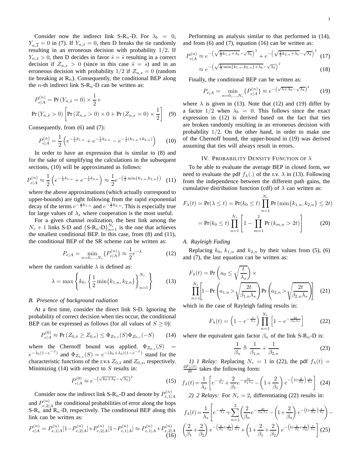Consider now the indirect link S-R<sub>n</sub>-D. For  $\lambda_b = 0$ ,  $Y_{n,\overline{s}} = 0$  in (7). If  $Y_{n,\tilde{s}} = 0$ , then D breaks the tie randomly resulting in an erroneous decision with probability 1/2. If  $Y_{n, \tilde{s}} > 0$ , then D decides in favor  $\hat{s} = \tilde{s}$  resulting in a correct decision if  $Z_{n,s} > 0$  (since in this case  $\tilde{s} = s$ ) and in an erroneous decision with probability  $1/2$  if  $Z_{n,s} = 0$  (random tie breaking at  $\mathbb{R}_n$ ). Consequently, the conditional BEP along the *n*-th indirect link S-R<sub>n</sub>-D can be written as:

$$
P_{e|A}^{(n)} = \Pr(Y_{n,\tilde{s}} = 0) \times \frac{1}{2} +
$$
  
Pr(Y\_{n,\tilde{s}} > 0)  $\left[ \Pr(Z_{n,s} > 0) \times 0 + \Pr(Z_{n,s} = 0) \times \frac{1}{2} \right]$  (9)

Consequently, from (6) and (7):

$$
P_{e|A}^{(n)} = \frac{1}{2} \left( e^{-\frac{1}{2}k_{1,n}} + e^{-\frac{1}{2}k_{2,n}} - e^{-\frac{1}{2}(k_{1,n} + k_{2,n})} \right)
$$
 (10)

In order to have an expression that is similar to (8) and for the sake of simplifying the calculations in the subsequent sections, (10) will be approximated as follows:

$$
P_{e|A}^{(n)} \approx \frac{1}{2} \left( e^{-\frac{1}{2}k_{1,n}} + e^{-\frac{1}{2}k_{2,n}} \right) \approx \frac{1}{2} e^{-\left(\frac{1}{2}\min\{k_{1,n}, k_{2,n}\}\right)} \tag{11}
$$

where the above approximations (which actually correspond to upper-bounds) are tight following from the rapid exponential decay of the terms  $e^{-\frac{1}{2}k_{1,n}}$  and  $e^{-\frac{1}{2}k_{2,n}}$ . This is especially true for large values of  $\lambda_s$  where cooperation is the most useful.

For a given channel realization, the best link among the  $N_r + 1$  links S-D and  $\{S-R_n-D\}_{n=1}^{N_r}$  is the one that achieves the smallest conditional BEP. In this case, from (8) and (11), the conditional BEP of the SR scheme can be written as:

$$
P_{e|A} = \min_{n=0,\dots,N_r} \{ P_{e|A}^{(n)} \} \approx \frac{1}{2} e^{-\lambda}
$$
 (12)

where the random variable  $\lambda$  is defined as:

$$
\lambda = \max \left\{ k_0, \left\{ \frac{1}{2} \min \{ k_{1,n}, k_{2,n} \} \right\}_{n=1}^{N_r} \right\} \tag{13}
$$

### *B. Presence of background radiation*

At a first time, consider the direct link S-D. Ignoring the probability of correct decision when ties occur, the conditional BEP can be expressed as follows (for all values of  $S \geq 0$ ):

$$
P_{e|A}^{(0)} \approx \Pr\left(Z_{0,\bar{s}} \ge Z_{0,s}\right) \le \Phi_{Z_{0,\bar{s}}}(S)\Phi_{Z_{0,s}}(-S) \tag{14}
$$

where the Chernoff bound was applied.  $\Phi_{Z_{0,\bar{s}}}(S)$  =  $e^{-\lambda_b(1-e^{-S})}$  and  $\Phi_{Z_{0,s}}(S) = e^{-(k_0+\lambda_b)(1-e^{-S})}$  stand for the characteristic functions of the r.v.s  $Z_{0,\bar{s}}$  and  $Z_{0,s}$ , respectively. Minimizing (14) with respect to  $S$  results in:

$$
P_{e|A}^{(0)} \approx e^{-\left(\sqrt{k_0 + \lambda_b} - \sqrt{\lambda_b}\right)^2} \tag{15}
$$

Consider now the indirect link S-R<sub>n</sub>-D and denote by  $P_{e,1}^{(n)}$  $e,1|A$ and  $P_{e,2}^{(n)}$  $e_{e,2|A}^{(h)}$  the conditional probabilities of error along the hops  $S-R_n$  and  $R_n$ -D, respectively. The conditional BEP along this link can be written as:

$$
P_{e|A}^{(n)} = P_{e,1|A}^{(n)}[1 - P_{e,2|A}^{(n)}] + P_{e,2|A}^{(n)}[1 - P_{e,1|A}^{(n)}] \approx P_{e,1|A}^{(n)} + P_{e,2|A}^{(n)} \tag{16}
$$

Performing an analysis similar to that performed in (14), and from  $(6)$  and  $(7)$ , equation  $(16)$  can be written as:

$$
P_{e|A}^{(n)} \approx e^{-\left(\sqrt{\frac{1}{2}k_{1,n} + \lambda_b} - \sqrt{\lambda_b}\right)^2} + e^{-\left(\sqrt{\frac{1}{2}k_{2,n} + \lambda_b} - \sqrt{\lambda_b}\right)^2} \tag{17}
$$

$$
\approx e^{-\left(\sqrt{\frac{1}{2}\min\{k_{1,n},k_{2,n}\}+\lambda_b-\sqrt{\lambda_b}\right)}}\tag{18}
$$

Finally, the conditional BEP can be written as:

$$
P_{e|A} = \min_{n=0,\dots,N_r} \{P_{e|A}^{(n)}\} \approx e^{-\left(\sqrt{\lambda + \lambda_b} - \sqrt{\lambda_b}\right)^2} \tag{19}
$$

where  $\lambda$  is given in (13). Note that (12) and (19) differ by a factor  $1/2$  when  $\lambda_b = 0$ . This follows since the exact expression in (12) is derived based on the fact that ties are broken randomly resulting in an erroneous decision with probability  $1/2$ . On the other hand, in order to make use of the Chernoff bound, the upper-bound in (19) was derived assuming that ties will always result in errors.

## IV. PROBABILITY DENSITY FUNCTION OF  $\lambda$

To be able to evaluate the average BEP in closed form, we need to evaluate the pdf  $f_{\lambda}$ (.) of the r.v.  $\lambda$  in (13). Following from the independence between the different path gains, the cumulative distribution function (cdf) of  $\lambda$  can written as:

$$
F_{\lambda}(t) = \Pr(\lambda \le t) = \Pr(k_0 \le t) \prod_{n=1}^{N_r} \Pr(\min\{k_{1,n}, k_{2,n}\} \le 2t)
$$

$$
= \Pr(k_0 \le t) \prod_{n=1}^{N_r} \left[1 - \prod_{m=1}^{2} \Pr(k_{m,n} > 2t)\right]
$$
(20)

#### *A. Rayleigh Fading*

Replacing  $k_0$ ,  $k_{1,n}$  and  $k_{2,n}$  by their values from (5), (6) and (7), the last equation can be written as:

$$
F_{\lambda}(t) = \Pr\left(a_0 \le \sqrt{\frac{t}{\lambda_s}}\right) \times \prod_{n=1}^{N_r} \left[1 - \Pr\left(a_{1,n} > \sqrt{\frac{2t}{\beta_{1,n}\lambda_s}}\right) \Pr\left(a_{2,n} > \sqrt{\frac{2t}{\beta_{2,n}\lambda_s}}\right)\right] \quad (21)
$$

which in the case of Rayleigh fading results in:

$$
F_{\lambda}(t) = \left(1 - e^{-\frac{t}{\lambda_s}}\right) \prod_{n=1}^{N_r} \left[1 - e^{-\frac{2t}{\beta_n \lambda_s}}\right]
$$
(22)

where the equivalent gain factor  $\beta_n$  of the link S-R<sub>n</sub>-D is:

$$
\frac{1}{\beta_n} \triangleq \frac{1}{\beta_{1,n}} + \frac{1}{\beta_{2,n}} \tag{23}
$$

*1) 1 Relay:* Replacing  $N_r = 1$  in (22), the pdf  $f_{\lambda}(t) =$  $\frac{dF_{\lambda}(t)}{dt}$  takes the following form:

$$
f_{\lambda}(t) = \frac{1}{\lambda_s} \left[ e^{-\frac{t}{\lambda_s}} + \frac{2}{\beta_1} e^{-\frac{2t}{\beta_1 \lambda_s}} - \left( 1 + \frac{2}{\beta_1} \right) e^{-\left( 1 + \frac{2}{\beta_1} \right) \frac{t}{\lambda_s}} \right] \tag{24}
$$

*2) 2 Relays:* For  $N_r = 2$ , differentiating (22) results in:

$$
f_{\lambda}(t) = \frac{1}{\lambda_{s}} \left[ e^{-\frac{t}{\lambda_{s}}} + \sum_{n=1}^{2} \left( \frac{2}{\beta_{n}} e^{-\frac{2t}{\beta_{n}\lambda_{s}}} - \left( 1 + \frac{2}{\beta_{n}} \right) e^{-\left( 1 + \frac{2}{\beta_{n}} \right) \frac{t}{\lambda_{s}}} \right) - \left( \frac{2}{\beta_{1}} + \frac{2}{\beta_{2}} \right) e^{-\left( \frac{2}{\beta_{1}} + \frac{2}{\beta_{2}} \right) \frac{t}{\lambda_{s}}} + \left( 1 + \frac{2}{\beta_{1}} + \frac{2}{\beta_{2}} \right) e^{-\left( 1 + \frac{2}{\beta_{1}} + \frac{2}{\beta_{2}} \right) \frac{t}{\lambda_{s}}} \right] (25)
$$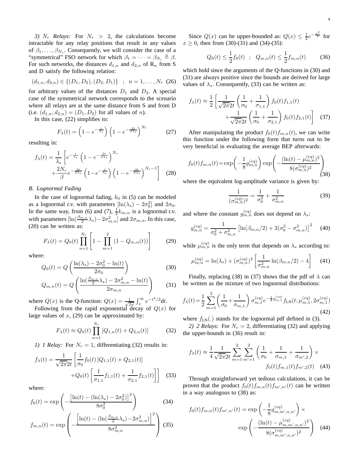*3)*  $N_r$  *Relays:* For  $N_r > 2$ , the calculations become intractable for any relay positions that result in any values of  $\beta_1, \ldots, \beta_{N_r}$ . Consequently, we will consider the case of a "symmetrical" FSO network for which  $\beta_1 = \cdots = \beta_{N_r} \triangleq \beta$ . For such networks, the distances  $d_{1,n}$  and  $d_{2,n}$  of  $\mathbb{R}_n$  from S and D satisfy the following relation:

$$
(d_{1,n}, d_{2,n}) \in \{ (D_1, D_2), (D_2, D_1) \} \; ; \; n = 1, \ldots, N_r \; (26)
$$

for arbitrary values of the distances  $D_1$  and  $D_2$ . A special case of the symmetrical network corresponds to the scenario where all relays are at the same distance from S and from D (i.e.  $(d_{1,n}, d_{2,n}) = (D_1, D_2)$  for all values of n).

In this case, (22) simplifies to:

$$
F_{\lambda}(t) = \left(1 - e^{-\frac{t}{\lambda_s}}\right) \left(1 - e^{-\frac{2t}{\beta \lambda_s}}\right)^{N_r} \tag{27}
$$

resulting in:

$$
f_{\lambda}(t) = \frac{1}{\lambda_{s}} \left[ e^{-\frac{t}{\lambda_{s}}} \left( 1 - e^{-\frac{2t}{\beta \lambda_{s}}} \right)^{N_{r}} + \frac{2N_{r}}{\beta} e^{-\frac{2t}{\beta \lambda_{s}}} \left( 1 - e^{-\frac{t}{\lambda_{s}}} \right) \left( 1 - e^{-\frac{2t}{\beta \lambda_{s}}} \right)^{N_{r}-1} \right]
$$
(28)

#### *B. Lognormal Fading*

In the case of lognormal fading,  $k_0$  in (5) can be modeled as a lognormal r.v. with parameters  $[\ln(\lambda_s) - 2\sigma_0^2]$  and  $2\sigma_0$ . In the same way, from (6) and (7),  $\frac{1}{2}k_{m,n}$  is a lognormal r.v. with parameters  $[\ln(\frac{\beta_{m,n}}{2}\lambda_s) - 2\sigma_{m,n}^2]$  and  $2\sigma_{m,n}$ . In this case, (20) can be written as:

$$
F_{\lambda}(t) = Q_0(t) \prod_{n=1}^{N_r} \left[ 1 - \prod_{m=1}^{2} \left( 1 - Q_{m,n}(t) \right) \right]
$$
 (29)

where:

$$
Q_0(t) = Q\left(\frac{\ln(\lambda_s) - 2\sigma_0^2 - \ln(t)}{2\sigma_0}\right)
$$
 (30)

$$
Q_{m,n}(t) = Q\left(\frac{\ln(\frac{\beta_{m,n}}{2}\lambda_s) - 2\sigma_{m,n}^2 - \ln(t)}{2\sigma_{m,n}}\right)
$$
(31)

where  $Q(x)$  is the Q-function:  $Q(x) = \frac{1}{\sqrt{2}}$  $rac{1}{2\pi} \int_x^{\infty} e^{-t^2/2} dt$ .

Following from the rapid exponential decay of  $Q(x)$  for large values of  $x$ , (29) can be approximated by:

$$
F_{\lambda}(t) \approx Q_0(t) \prod_{n=1}^{N_r} [Q_{1,n}(t) + Q_{2,n}(t)] \tag{32}
$$

*1) 1 Relay:* For  $N_r = 1$ , differentiating (32) results in:

$$
f_{\lambda}(t) = \frac{1}{\sqrt{2\pi}2t} \left[ \frac{1}{\sigma_0} f_0(t) \left[ Q_{1,1}(t) + Q_{2,1}(t) \right] + Q_0(t) \left[ \frac{1}{\sigma_{1,1}} f_{1,1}(t) + \frac{1}{\sigma_{2,1}} f_{2,1}(t) \right] \right]
$$
(33)

where:

$$
f_0(t) = \exp\left(-\frac{\left[\ln(t) - (\ln(\lambda_s) - 2\sigma_0^2)\right]^2}{8\sigma_0^2}\right)
$$
(34)  

$$
\left(\frac{\left[\ln(t) - (\ln(\frac{\beta_{m,n}}{2}\lambda_s) - 2\sigma_{m,n}^2)\right]^2}{\sigma_0^2}\right)
$$

$$
f_{m,n}(t) = \exp\left(-\frac{\left[\ln(t) - \left(\ln\left(\frac{\beta_{m,n}}{2}\lambda_s\right) - 2\sigma_{m,n}^2\right)\right]^2}{8\sigma_{m,n}^2}\right)
$$
(35)

Since  $Q(x)$  can be upper-bounded as:  $Q(x) \le \frac{1}{2}e^{-\frac{x^2}{2}}$  for  $x \ge 0$ , then from (30)-(31) and (34)-(35):

$$
Q_0(t) \le \frac{1}{2} f_0(t) \quad ; \quad Q_{m,n}(t) \le \frac{1}{2} f_{m,n}(t) \tag{36}
$$

which hold since the arguments of the Q-functions in (30) and (31) are always positive since the bounds are derived for large values of  $\lambda_s$ . Consequently, (33) can be written as:

$$
f_{\lambda}(t) \approx \frac{1}{2} \left[ \frac{1}{\sqrt{2\pi}2t} \left( \frac{1}{\sigma_0} + \frac{1}{\sigma_{1,1}} \right) f_0(t) f_{1,1}(t) + \frac{1}{\sqrt{2\pi}2t} \left( \frac{1}{\sigma_0} + \frac{1}{\sigma_{2,1}} \right) f_0(t) f_{2,1}(t) \right] (37)
$$

After manipulating the product  $f_0(t)f_{m,n}(t)$ , we can write this function under the following form that turns out to be very beneficial in evaluating the average BEP afterwards:

$$
f_0(t)f_{m,n}(t) = \exp\left(-\frac{1}{8}g_{m,n}^{(eq)}\right) \exp\left(-\frac{(\ln(t) - \mu_{m,n}^{(eq)})^2}{8(\sigma_{m,n}^{(eq)})^2}\right)
$$
(38)

where the equivalent log-amplitude variance is given by:

$$
\frac{1}{(\sigma_{m,n}^{(eq)})^2} = \frac{1}{\sigma_0^2} + \frac{1}{\sigma_{m,n}^2}
$$
(39)

and where the constant  $g_{m,n}^{(eq)}$  does not depend on  $\lambda_s$ :

$$
g_{m,n}^{(eq)} = \frac{1}{\sigma_0^2 + \sigma_{m,n}^2} \left[ \ln(\beta_{m,n}/2) + 2(\sigma_0^2 - \sigma_{m,n}^2) \right]^2 \tag{40}
$$

while  $\mu_{m,n}^{(eq)}$  is the only term that depends on  $\lambda_s$  according to:

$$
\mu_{m,n}^{(eq)} = \ln(\lambda_s) + (\sigma_{m,n}^{(eq)})^2 \left[ \frac{1}{\sigma_{m,n}^2} \ln(\beta_{m,n}/2) - 4 \right] \tag{41}
$$

Finally, replacing (38) in (37) shows that the pdf of  $\lambda$  can be written as the mixture of two lognormal distributions:

$$
f_{\lambda}(t) = \frac{1}{2} \sum_{m=1}^{2} \left( \frac{1}{\sigma_0} + \frac{1}{\sigma_{m,1}} \right) \sigma_{m,1}^{(eq)} e^{-\frac{1}{8} g_{m,1}^{(eq)}} f_{\text{LN}}(t; \mu_{m,1}^{(eq)}, 2\sigma_{m,1}^{(eq)})
$$
(42)

where  $f_{LN}(.)$  stands for the lognormal pdf defined in (3).

2) 2 *Relays:* For  $N_r = 2$ , differentiating (32) and applying the upper-bounds in (36) result in:

$$
f_{\lambda}(t) \approx \frac{1}{4} \frac{1}{\sqrt{2\pi} 2t} \sum_{m=1}^{2} \sum_{m'=1}^{2} \left( \frac{1}{\sigma_0} + \frac{1}{\sigma_{m,1}} + \frac{1}{\sigma_{m',2}} \right) \times f_0(t) f_{m,1}(t) f_{m',2}(t) \quad (43)
$$

Through straightforward yet tedious calculations, it can be proven that the product  $f_0(t)f_{m,n}(t)f_{m',n'}(t)$  can be written in a way analogous to (38) as:

$$
f_0(t)f_{m,n}(t)f_{m',n'}(t) = \exp\left(-\frac{1}{8}g_{m,m',n,n'}^{(eq)}\right) \times \exp\left(-\frac{(\ln(t) - \mu_{m,m',n,n'}^{(eq)})^2}{8(\sigma_{m,m',n,n'}^{(eq)})^2}\right)
$$
(44)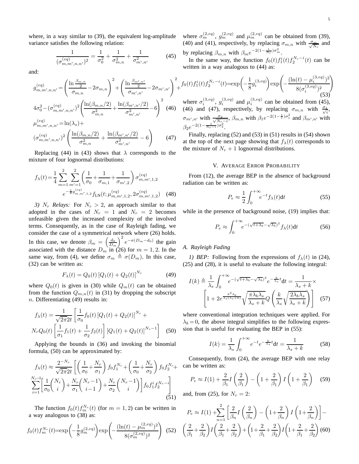where, in a way similar to (39), the equivalent log-amplitude variance satisfies the following relation:

$$
\frac{1}{(\sigma_{m,m',n,n'}^{(eq)})^2} = \frac{1}{\sigma_0^2} + \frac{1}{\sigma_{m,n}^2} + \frac{1}{\sigma_{m',n'}^2}
$$
(45)

and:

$$
g_{m,m',n,n'}^{(eq)} = \left(\frac{\ln \frac{\beta_{m,n}}{2}}{\sigma_{m,n}} - 2\sigma_{m,n}\right)^2 + \left(\frac{\ln \frac{\beta_{m',n'}}{2}}{\sigma_{m',n'}} - 2\sigma_{m',n'}\right)^2 +
$$
  
\n
$$
4\sigma_0^2 - (\sigma_{m,m',n,n'}^{(eq)} - 2\left(\frac{\ln(\beta_{m,n}/2)}{\sigma_{m,n}^2} + \frac{\ln(\beta_{m',n'}/2)}{\sigma_{m',n'}^2} - 6\right)^2
$$
  
\n
$$
\mu_{m,m',n,n'}^{(eq)} = \ln(\lambda_s) +
$$
  
\n
$$
(\sigma_{m,m',n,n'}^{(eq)})^2 \left(\frac{\ln(\beta_{m,n}/2)}{\sigma_{m,n}^2} + \frac{\ln(\beta_{m',n'}/2)}{\sigma_{m,n'}^2} - 6\right)
$$
 (47)

 $\sigma_{m,n}^2$  $\frac{\sigma_{m',n'}^{2}}{\sigma_{m',n'}^{2}}$  - 6 Replacing (44) in (43) shows that  $\lambda$  corresponds to the

mixture of four lognormal distributions:

$$
f_{\lambda}(t) = \frac{1}{4} \sum_{m=1}^{2} \sum_{m'=1}^{2} \left( \frac{1}{\sigma_{0}} + \frac{1}{\sigma_{m,1}} + \frac{1}{\sigma_{m',2}} \right) \sigma_{m,m',1,2}^{(eq)} e^{-\frac{1}{8}g_{m,m',1,2}^{(eq)}} f_{\text{LN}}(t; \mu_{m,m',1,2}^{(eq)}, 2\sigma_{m,m',1,2}^{(eq)})
$$
 (48)

*3)*  $N_r$  *Relays:* For  $N_r > 2$ , an approach similar to that adopted in the cases of  $N_r = 1$  and  $N_r = 2$  becomes unfeasible given the increased complexity of the involved terms. Consequently, as in the case of Rayleigh fading, we consider the case of a symmetrical network where (26) holds. In this case, we denote  $\beta_m = \left(\frac{d_0}{D_m}\right)^2 e^{-\sigma(D_m-d_0)}$  the gain associated with the distance  $D_m$  in (26) for  $m = 1, 2$ . In the same way, from (4), we define  $\sigma_m \triangleq \sigma(D_m)$ . In this case, (32) can be written as:

$$
F_{\lambda}(t) = Q_0(t) [Q_1(t) + Q_2(t)]^{N_r}
$$
 (49)

where  $Q_0(t)$  is given in (30) while  $Q_m(t)$  can be obtained from the function  $Q_{m,n}(t)$  in (31) by dropping the subscript n. Differentiating (49) results in:

$$
f_{\lambda}(t) = \frac{1}{\sqrt{2\pi}2t} \left[ \frac{1}{\sigma_0} f_0(t) \left[ Q_1(t) + Q_2(t) \right]^{N_r} + N_r Q_0(t) \left[ \frac{1}{\sigma_1} f_1(t) + \frac{1}{\sigma_2} f_2(t) \right] \left[ Q_1(t) + Q_2(t) \right]^{N_r - 1} \right]
$$
(50)

Applying the bounds in (36) and invoking the binomial formula, (50) can be approximated by:

$$
f_{\lambda}(t) \approx \frac{2^{-N_r}}{\sqrt{2\pi}2t} \left[ \left( \frac{1}{\sigma_0} + \frac{N_r}{\sigma_1} \right) f_0 f_1^{N_r} + \left( \frac{1}{\sigma_0} + \frac{N_r}{\sigma_2} \right) f_0 f_2^{N_r} + \sum_{i=1}^{N_r - 1} \left[ \frac{1}{\sigma_0} {N_r \choose i} + \frac{N_r}{\sigma_1} {N_r - 1 \choose i-1} + \frac{N_r}{\sigma_2} {N_r - 1 \choose i} \right] f_0 f_1^i f_2^{N_r - i} \right] \tag{51}
$$

The function  $f_0(t) f_m^{N_r}(t)$  (for  $m = 1, 2$ ) can be written in a way analogous to (38) as:

$$
f_0(t)f_m^{N_r}(t) = \exp\left(-\frac{1}{8}g_m^{(2,eq)}\right) \exp\left(-\frac{(\ln(t) - \mu_m^{(2,eq)})^2}{8(\sigma_m^{(2,eq)})^2}\right) \tag{52}
$$

where  $\sigma_m^{(2,eq)}$ ,  $g_m^{(2,eq)}$  and  $\mu_m^{(2,eq)}$  can be obtained from (39), (40) and (41), respectively, by replacing  $\sigma_{m,n}$  with  $\frac{\sigma_m}{\sqrt{N_r}}$  and by replacing  $\beta_{m,n}$  with  $\beta_m e^{-2(1-\frac{1}{N_r})\sigma_m^2}$ .

In the same way, the function  $f_0(t) f_1^i(t) f_2^{N_r-i}(t)$  can be written in a way analogous to  $(44)$  as:

$$
f_0(t)f_1^i(t)f_2^{N_r-i}(t) = \exp\left(-\frac{1}{8}g_i^{(3,eq)}\right) \exp\left(-\frac{(\ln(t) - \mu_i^{(3,eq)})^2}{8(\sigma_i^{(3,eq)})^2}\right)
$$
  
where  $\sigma_i^{(3,eq)}$ ,  $g_i^{(3,eq)}$  and  $\mu_i^{(3,eq)}$  can be obtained from (45),  
(46) and (47), respectively, by replacing  $\sigma_{m,n}$  with  $\frac{\sigma_1}{\sqrt{i}}$ ,  
 $\sigma_{m',n'}$  with  $\frac{\sigma_2}{\sqrt{N_{r_2-i}}}, \beta_{m,n}$  with  $\beta_1 e^{-2(1-\frac{1}{i})\sigma_1^2}$  and  $\beta_{m',n'}$  with

Finally, replacing (52) and (53) in (51) results in (54) shown at the top of the next page showing that  $f_{\lambda}(t)$  corresponds to the mixture of  $N_r + 1$  lognormal distributions.

#### V. AVERAGE ERROR PROBABILITY

From (12), the average BEP in the absence of background radiation can be written as:

$$
P_e \approx \frac{1}{2} \int_0^{+\infty} e^{-t} f_\lambda(t) \mathrm{d}t \tag{55}
$$

while in the presence of background noise, (19) implies that:

$$
P_e \approx \int_0^{+\infty} e^{-(\sqrt{t+\lambda_b}-\sqrt{\lambda_b})^2} f_\lambda(t) \mathrm{d}t \tag{56}
$$

## *A. Rayleigh Fading*

 $\beta_2 e^{-2(1-\frac{1}{N_r-i})\sigma_2^2}.$ 

*1) BEP:* Following from the expressions of  $f_{\lambda}(t)$  in (24), (25) and (28), it is useful to evaluate the following integral:

$$
I(k) \triangleq \frac{1}{\lambda_s} \int_0^{+\infty} e^{-(\sqrt{t+\lambda_b} - \sqrt{\lambda_b})^2} e^{-\frac{k}{\lambda_s}t} dt = \frac{1}{\lambda_s + k} \times \left[1 + 2e^{\frac{k^2 \lambda_b}{\lambda_s(\lambda_s + k)}} \sqrt{\frac{\pi \lambda_b \lambda_s}{\lambda_s + k}} Q\left(\frac{k}{\lambda_s} \sqrt{\frac{2 \lambda_b \lambda_s}{\lambda_s + k}}\right)\right] \quad (57)
$$

where conventional integration techniques were applied. For  $\lambda_b = 0$ , the above integral simplifies to the following expression that is useful for evaluating the BEP in (55):

$$
I(k) = \frac{1}{\lambda_s} \int_0^{+\infty} e^{-t} e^{-\frac{k}{\lambda_s}t} dt = \frac{1}{\lambda_s + k}
$$
 (58)

Consequently, from (24), the average BEP with one relay can be written as:

$$
P_e \approx I(1) + \frac{2}{\beta_1} I\left(\frac{2}{\beta_1}\right) - \left(1 + \frac{2}{\beta_1}\right) I\left(1 + \frac{2}{\beta_1}\right) \quad (59)
$$

and, from (25), for  $N_r = 2$ :

$$
P_e \approx I(1) + \sum_{n=1}^{2} \left[ \frac{2}{\beta_n} I\left(\frac{2}{\beta_n}\right) - \left(1 + \frac{2}{\beta_n}\right) I\left(1 + \frac{2}{\beta_n}\right) \right] -
$$
  

$$
\left(\frac{2}{\beta_1} + \frac{2}{\beta_2}\right) I\left(\frac{2}{\beta_1} + \frac{2}{\beta_2}\right) + \left(1 + \frac{2}{\beta_1} + \frac{2}{\beta_2}\right) I\left(1 + \frac{2}{\beta_1} + \frac{2}{\beta_2}\right)
$$
(60)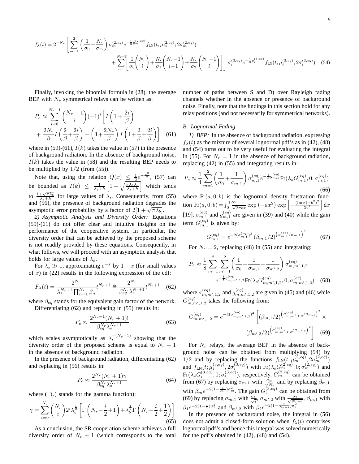$$
f_{\lambda}(t) = 2^{-N_r} \left[ \sum_{m=1}^{2} \left( \frac{1}{\sigma_0} + \frac{N_r}{\sigma_m} \right) \sigma_m^{(2,eq)} e^{-\frac{1}{8}g_m^{(2,eq)}} f_{\text{LN}}(t, \mu_m^{(2,eq)}; 2\sigma_m^{(2,eq)}) + \sum_{i=1}^{N_r - 1} \left[ \frac{1}{\sigma_0} \binom{N_r}{i} + \frac{N_r}{\sigma_1} \binom{N_r - 1}{i - 1} + \frac{N_r}{\sigma_2} \binom{N_r - 1}{i} \right] \right] \sigma_i^{(3,eq)} e^{-\frac{1}{8}g_i^{(3,eq)}} f_{\text{LN}}(t, \mu_i^{(3,eq)}; 2\sigma_i^{(3,eq)}) \tag{54}
$$

Finally, invoking the binomial formula in (28), the average BEP with  $N_r$  symmetrical relays can be written as:

$$
P_e \approx \sum_{i=0}^{N_r - 1} {N_r - 1 \choose i} (-1)^i \left[ I \left( 1 + \frac{2i}{\beta} \right) + \frac{2N_r}{\beta} I \left( \frac{2}{\beta} + \frac{2i}{\beta} \right) - \left( 1 + \frac{2N_r}{\beta} \right) I \left( 1 + \frac{2}{\beta} + \frac{2i}{\beta} \right) \right]
$$
(61)

where in (59)-(61),  $I(k)$  takes the value in (57) in the presence of background radiation. In the absence of background noise,  $I(k)$  takes the value in (58) and the resulting BEP needs to be multiplied by  $1/2$  (from (55)).

Note that, using the relation  $Q(x) \leq \frac{1}{2}e^{-\frac{x^2}{2}}$ , (57) can be bounded as  $I(k) \leq \frac{1}{\lambda_s + k} \left[1 + \sqrt{\frac{\pi \lambda_b \lambda_s}{\lambda_s + k}} \right]$  which tends to  $\frac{1+\sqrt{\pi\lambda_b}}{\lambda_s+k}$  for large values of  $\lambda_s$ . Consequently, from (55) and (56), the presence of background radiation degrades the asymptotic error probability by a factor of  $2[1 + \sqrt{\pi \lambda_b}]$ .

*2) Asymptotic Analysis and Diversity Order:* Equations (59)-(61) do not offer clear and intuitive insights on the performance of the cooperative system. In particular, the diversity order that can be achieved by the proposed scheme is not readily provided by these equations. Consequently, in what follows, we will proceed with an asymptotic analysis that holds for large values of  $\lambda_s$ .

For  $\lambda_s \gg 1$ , approximating  $e^{-x}$  by  $1 - x$  (for small values of  $x$ ) in (22) results in the following expression of the cdf:

$$
F_{\lambda}(t) = \frac{2^{N_r}}{\lambda_s^{N_r+1} \prod_{n=1}^{N_r} \beta_n} t^{N_r+1} \triangleq \frac{2^{N_r}}{\beta_{eq}^{N_r} \lambda_s^{N_r+1}} t^{N_r+1} \quad (62)
$$

where  $\beta_{eq}$  stands for the equivalent gain factor of the network. Differentiating (62) and replacing in (55) results in:

$$
P_e \approx \frac{2^{N_r - 1}(N_r + 1)!}{\beta_{eq}^{N_r} \lambda_s^{N_r + 1}}
$$
(63)

which scales asymptotically as  $\lambda_s^{-(N_r+1)}$  showing that the diversity order of the proposed scheme is equal to  $N_r + 1$ in the absence of background radiation.

In the presence of background radiation, differentiating (62) and replacing in (56) results in:

$$
P_e \approx \frac{2^{N_r} (N_r + 1)\gamma}{\beta_{eq}^{N_r} \lambda_s^{N_r + 1}}
$$
\n(64)

where  $(\Gamma(.)$  stands for the gamma function):

$$
\gamma = \sum_{i=0}^{N_r} \binom{N_r}{i} 2^i \lambda_b^{\frac{i}{2}} \left[ \Gamma \left( N_r - \frac{i}{2} + 1 \right) + \lambda_b^{\frac{1}{2}} \Gamma \left( N_r - \frac{i}{2} + \frac{1}{2} \right) \right]
$$
(65)

As a conclusion, the SR cooperation scheme achieves a full diversity order of  $N_r + 1$  (which corresponds to the total number of paths between S and D) over Rayleigh fading channels whether in the absence or presence of background noise. Finally, note that the findings in this section hold for any relay positions (and not necessarily for symmetrical networks).

#### *B. Lognormal Fading*

*1) BEP:* In the absence of background radiation, expressing  $f_{\lambda}(t)$  as the mixture of several lognormal pdf's as in (42), (48) and (54) turns out to be very useful for evaluating the integral in (55). For  $N_r = 1$  in the absence of background radiation, replacing (42) in (55) and integrating results in:

$$
P_e \approx \frac{1}{4} \sum_{m=1}^{2} \left( \frac{1}{\sigma_0} + \frac{1}{\sigma_{m,1}} \right) \sigma_{m,1}^{(eq)} e^{-\frac{1}{8} g_{m,1}^{(eq)}} \text{Fr}(\lambda_s G_{m,1}^{(eq)}, 0; \sigma_{m,1}^{(eq)})
$$
(66)

where  $Fr(a, 0; b)$  is the lognormal density frustration function  $\text{Fr}(a, 0; b) = \int_0^+ \frac{\infty}{\sqrt{2\pi bx}} \exp(-ax^2) \exp\left[-\frac{(\ln(x) + b^2)^2}{2b^2}\right]$  $\frac{(x)+b^2)^2}{2b^2}$  dx [19].  $\sigma_{m,1}^{(eq)}$  and  $g_{m,1}^{(eq)}$  are given in (39) and (40) while the gain term  $G_{m,1}^{(eq)}$  is given by:

$$
G_{m,1}^{(eq)} = e^{-2(\sigma_{m,1}^{(eq)})^2} (\beta_{m,1}/2)^{(\sigma_{m,1}^{(eq)}/\sigma_{m,1})^2}
$$
 (67)

For  $N_r = 2$ , replacing (48) in (55) and integrating:

$$
P_e \approx \frac{1}{8} \sum_{m=1}^{2} \sum_{m'=1}^{2} \left( \frac{1}{\sigma_0} + \frac{1}{\sigma_{m,1}} + \frac{1}{\sigma_{m',2}} \right) \sigma_{m,m',1,2}^{(eq)}
$$

$$
e^{-\frac{1}{8}g_{m,m',1,2}^{(eq)}} \text{Fr}(\lambda_s G_{m,m',1,2}^{(eq)}, 0; \sigma_{m,m',1,2}^{(eq)}) \quad (68)
$$

where  $\sigma_{m,m',1,2}^{(eq)}$  and  $g_{m,m',1,2}^{(eq)}$  are given in (45) and (46) while  $G_{m,m',1,2}^{(eq)}$  takes the following from:

$$
G_{m,m',1,2}^{(eq)} = e^{-4(\sigma_{m,m',1,2}^{(eq)})^2} \left[ (\beta_{m,1}/2)^{\left(\sigma_{m,m',1,2}^{(eq)}/\sigma_{m,1}\right)^2} \times \left(\beta_{m',2}/2\right)^{\left(\sigma_{m,m',1,2}^{(eq)}/\sigma_{m',2}\right)^2} \right]
$$
(69)

For  $N_r$  relays, the average BEP in the absence of background noise can be obtained from multiplying (54) by 1/2 and by replacing the functions  $f_{LN}(t; \mu_m^{(2,eq)}, 2\sigma_m^{(2,eq)})$ and  $f_{LN}(t; \mu_i^{(3,eq)})$  $\langle 3,eq \rangle \overline{\partial} \sigma_i^{(3,eq)}$  $\mathcal{E}_{i}^{(3,eq)}$ ) with  $\text{Fr}(\lambda_s G_m^{(2,eq)}, 0; \sigma_m^{(2,eq)})$  and  $\text{Fr}(\lambda_s G_i^{(3,eq)}$  $\sigma_i^{(3,eq)}, 0; \sigma_i^{(3,eq)}$  $i^{(3,eq)}$ ), respectively.  $G_m^{(2,eq)}$  can be obtained from (67) by replacing  $\sigma_{m,1}$  with  $\frac{\sigma_m}{\sqrt{N_r}}$  and by replacing  $\beta_{m,1}$ with  $\beta_m e^{-2(1-\frac{1}{Nr})\sigma_m^2}$ . The gain  $G_i^{(3,eq)}$  can be obtained from (69) by replacing  $\sigma_{m,1}$  with  $\frac{\sigma_1}{\sqrt{i}}$ ,  $\sigma_{m',2}$  with  $\frac{\sigma_2}{\sqrt{N_s-i}}$ ,  $\beta_{m,1}$  with  $\beta_1 e^{-2(1-\frac{1}{i})\sigma_1^2}$  and  $\beta_{m',2}$  with  $\beta_2 e^{-2(1-\frac{1}{N_r-i})\sigma_2^2}$ .

In the presence of background noise, the integral in (56) does not admit a closed-form solution when  $f_{\lambda}(t)$  comprises lognormal pdf's and hence this integral was solved numerically for the pdf's obtained in (42), (48) and (54).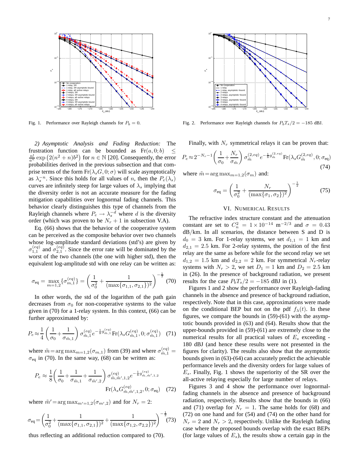

Fig. 1. Performance over Rayleigh channels for  $P_b = 0$ .

*2) Asymptotic Analysis and Fading Reduction:* The frustration function can be bounded as  $Fr(a, 0; b) \leq$  $\frac{n!}{a^n}$  exp  $(2(n^2+n)b^2)$  for  $n \in \mathbb{N}$  [20]. Consequently, the error probabilities derived in the previous subsection and that comprise terms of the form  $Fr(\lambda_s G, 0; \sigma)$  will scale asymptotically as  $\lambda_s^{-n}$ . Since this holds for all values of n, then the  $P_e(\lambda_s)$ curves are infinitely steep for large values of  $\lambda_s$  implying that the diversity order is not an accurate measure for the fading mitigation capabilities over lognormal fading channels. This behavior clearly distinguishes this type of channels from the Rayleigh channels where  $P_e \rightarrow \lambda_s^{-d}$  where d is the diversity order (which was proven to be  $N_r + 1$  in subsection V.A).

Eq. (66) shows that the behavior of the cooperative system can be perceived as the composite behavior over two channels whose log-amplitude standard deviations (std's) are given by  $\sigma_{1,1}^{(eq)}$  and  $\sigma_{2,1}^{(eq)}$ . Since the error rate will be dominated by the worst of the two channels (the one with higher std), then the equivalent log-amplitude std with one relay can be written as:

$$
\sigma_{\text{eq}} = \max_{m=1,2} \{ \sigma_{m,1}^{(eq)} \} = \left( \frac{1}{\sigma_0^2} + \frac{1}{(\max\{\sigma_{1,1}, \sigma_{2,1}\})^2} \right)^{-\frac{1}{2}} (70)
$$

In other words, the std of the logarithm of the path gain decreases from  $\sigma_0$  for non-cooperative systems to the value given in (70) for a 1-relay system. In this context, (66) can be further approximated by:

$$
P_e \approx \frac{1}{4} \left( \frac{1}{\sigma_0} + \frac{1}{\sigma_{\tilde{m},1}} \right) \sigma_{\tilde{m},1}^{(eq)} e^{-\frac{1}{8} g_{\tilde{m},1}^{(eq)}} \text{Fr}(\lambda_s G_{\tilde{m},1}^{(eq)}, 0; \sigma_{\tilde{m},1}^{(eq)}) \tag{71}
$$

where  $\tilde{m} = \arg \max_{m=1,2} (\sigma_{m,1})$  from (39) and where  $\sigma_{\tilde{m},1}^{(eq)} =$  $\sigma_{\text{eq}}$  in (70). In the same way, (68) can be written as:

$$
P_e \approx \frac{1}{8} \left( \frac{1}{\sigma_0} + \frac{1}{\sigma_{\tilde{m},1}} + \frac{1}{\sigma_{\tilde{m}',2}} \right) \sigma_{\tilde{m},\tilde{m}',1,2}^{(eq)} e^{-\frac{1}{8} g_{\tilde{m},\tilde{m}',1,2}^{(eq)}}
$$

$$
\text{Fr}(\lambda_s G_{\tilde{m},\tilde{m}',1,2}^{(eq)}, 0; \sigma_{\text{eq}}) \quad (72)
$$

where  $\tilde{m}' = \arg \max_{m'=1,2} (\sigma_{m',2})$  and for  $N_r = 2$ :

$$
\sigma_{\text{eq}} = \left(\frac{1}{\sigma_0^2} + \frac{1}{(\max\{\sigma_{1,1}, \sigma_{2,1}\})^2} + \frac{1}{(\max\{\sigma_{1,2}, \sigma_{2,2}\})^2}\right)^{-\frac{1}{2}} (73)
$$

thus reflecting an additional reduction compared to (70).



Fig. 2. Performance over Rayleigh channels for  $P_bT_s/2 = -185$  dBJ.

Finally, with  $N_r$  symmetrical relays it can be proven that:

$$
P_e \approx 2^{-N_r - 1} \left( \frac{1}{\sigma_0} + \frac{N_r}{\sigma_{\tilde{m}}} \right) \sigma_{\tilde{m}}^{(2, eq)} e^{-\frac{1}{8} g_{\tilde{m}}^{(2, eq)}} \text{Fr}(\lambda_s G_{\tilde{m}}^{(2, eq)}, 0; \sigma_{\text{eq}})
$$
(74)

where  $\tilde{m} = \arg \max_{m=1,2} (\sigma_m)$  and:

$$
\sigma_{\text{eq}} = \left(\frac{1}{\sigma_0^2} + \frac{N_r}{(\max\{\sigma_1, \sigma_2\})^2}\right)^{-\frac{1}{2}} \tag{75}
$$

#### VI. NUMERICAL RESULTS

The refractive index structure constant and the attenuation constant are set to  $C_n^2 = 1 \times 10^{-14}$  m<sup>-2/3</sup> and  $\sigma = 0.43$ dB/km. In all scenarios, the distance between S and D is  $d_0 = 3$  km. For 1-relay systems, we set  $d_{1,1} = 1$  km and  $d_{2,1} = 2.5$  km. For 2-relay systems, the position of the first relay are the same as before while for the second relay we set  $d_{1,2} = 1.5$  km and  $d_{2,2} = 2$  km. For symmetrical N<sub>r</sub>-relay systems with  $N_r > 2$ , we set  $D_1 = 1$  km and  $D_2 = 2.5$  km in (26). In the presence of background radiation, we present results for the case  $P_bT_s/2 = -185$  dBJ in (1).

Figures 1 and 2 show the performance over Rayleigh-fading channels in the absence and presence of background radiation, respectively. Note that in this case, approximations were made on the conditional BEP but not on the pdf  $f_{\lambda}(t)$ . In these figures, we compare the bounds in (59)-(61) with the asymptotic bounds provided in (63) and (64). Results show that the upper-bounds provided in (59)-(61) are extremely close to the numerical results for all practical values of  $E<sub>s</sub>$  exceeding -180 dBJ (and hence these results were not presented in the figures for clarity). The results also show that the asymptotic bounds given in (63)-(64) can accurately predict the achievable performance levels and the diversity orders for large values of  $E_s$ . Finally, Fig. 1 shows the superiority of the SR over the all-active relaying especially for large number of relays.

Figures 3 and 4 show the performance over lognormalfading channels in the absence and presence of background radiation, respectively. Results show that the bounds in (66) and (71) overlap for  $N_r = 1$ . The same holds for (68) and (72) on one hand and for (54) and (74) on the other hand for  $N_r = 2$  and  $N_r > 2$ , respectively. Unlike the Rayleigh fading case where the proposed bounds overlap with the exact BEPs (for large values of  $E_s$ ), the results show a certain gap in the